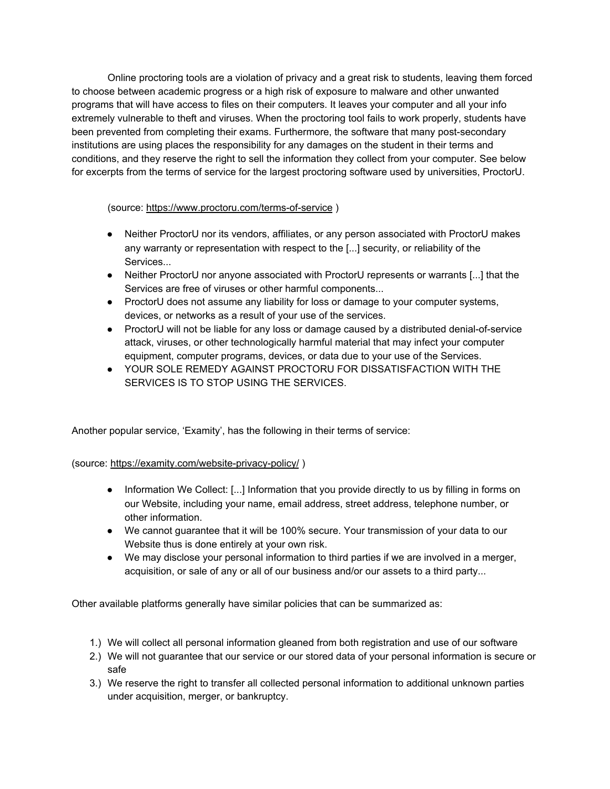Online proctoring tools are a violation of privacy and a great risk to students, leaving them forced to choose between academic progress or a high risk of exposure to malware and other unwanted programs that will have access to files on their computers. It leaves your computer and all your info extremely vulnerable to theft and viruses. When the proctoring tool fails to work properly, students have been prevented from completing their exams. Furthermore, the software that many post-secondary institutions are using places the responsibility for any damages on the student in their terms and conditions, and they reserve the right to sell the information they collect from your computer. See below for excerpts from the terms of service for the largest proctoring software used by universities, ProctorU.

(source: <https://www.proctoru.com/terms-of-service> )

- Neither ProctorU nor its vendors, affiliates, or any person associated with ProctorU makes any warranty or representation with respect to the [...] security, or reliability of the Services...
- Neither ProctorU nor anyone associated with ProctorU represents or warrants [...] that the Services are free of viruses or other harmful components...
- ProctorU does not assume any liability for loss or damage to your computer systems, devices, or networks as a result of your use of the services.
- ProctorU will not be liable for any loss or damage caused by a distributed denial-of-service attack, viruses, or other technologically harmful material that may infect your computer equipment, computer programs, devices, or data due to your use of the Services.
- YOUR SOLE REMEDY AGAINST PROCTORU FOR DISSATISFACTION WITH THE SERVICES IS TO STOP USING THE SERVICES.

Another popular service, 'Examity', has the following in their terms of service:

(source: <https://examity.com/website-privacy-policy/> )

- Information We Collect: [...] Information that you provide directly to us by filling in forms on our Website, including your name, email address, street address, telephone number, or other information.
- We cannot guarantee that it will be 100% secure. Your transmission of your data to our Website thus is done entirely at your own risk.
- We may disclose your personal information to third parties if we are involved in a merger, acquisition, or sale of any or all of our business and/or our assets to a third party...

Other available platforms generally have similar policies that can be summarized as:

- 1.) We will collect all personal information gleaned from both registration and use of our software
- 2.) We will not guarantee that our service or our stored data of your personal information is secure or safe
- 3.) We reserve the right to transfer all collected personal information to additional unknown parties under acquisition, merger, or bankruptcy.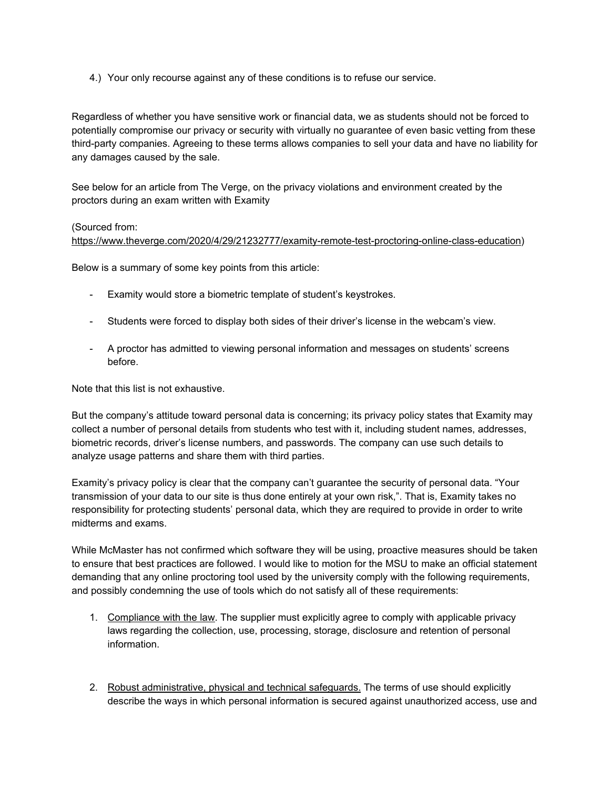4.) Your only recourse against any of these conditions is to refuse our service.

Regardless of whether you have sensitive work or financial data, we as students should not be forced to potentially compromise our privacy or security with virtually no guarantee of even basic vetting from these third-party companies. Agreeing to these terms allows companies to sell your data and have no liability for any damages caused by the sale.

See below for an article from The Verge, on the privacy violations and environment created by the proctors during an exam written with Examity

## (Sourced from:

[https://www.theverge.com/2020/4/29/21232777/examity-remote-test-proctoring-online-class-education\)](https://www.theverge.com/2020/4/29/21232777/examity-remote-test-proctoring-online-class-education)

Below is a summary of some key points from this article:

- Examity would store a biometric template of student's keystrokes.
- Students were forced to display both sides of their driver's license in the webcam's view.
- A proctor has admitted to viewing personal information and messages on students' screens before.

Note that this list is not exhaustive.

But the company's attitude toward personal data is concerning; its privacy policy states that Examity may collect a number of personal details from students who test with it, including student names, addresses, biometric records, driver's license numbers, and passwords. The company can use such details to analyze usage patterns and share them with third parties.

Examity's privacy policy is clear that the company can't guarantee the security of personal data. "Your transmission of your data to our site is thus done entirely at your own risk,". That is, Examity takes no responsibility for protecting students' personal data, which they are required to provide in order to write midterms and exams.

While McMaster has not confirmed which software they will be using, proactive measures should be taken to ensure that best practices are followed. I would like to motion for the MSU to make an official statement demanding that any online proctoring tool used by the university comply with the following requirements, and possibly condemning the use of tools which do not satisfy all of these requirements:

- 1. Compliance with the law. The supplier must explicitly agree to comply with applicable privacy laws regarding the collection, use, processing, storage, disclosure and retention of personal information.
- 2. Robust administrative, physical and technical safeguards. The terms of use should explicitly describe the ways in which personal information is secured against unauthorized access, use and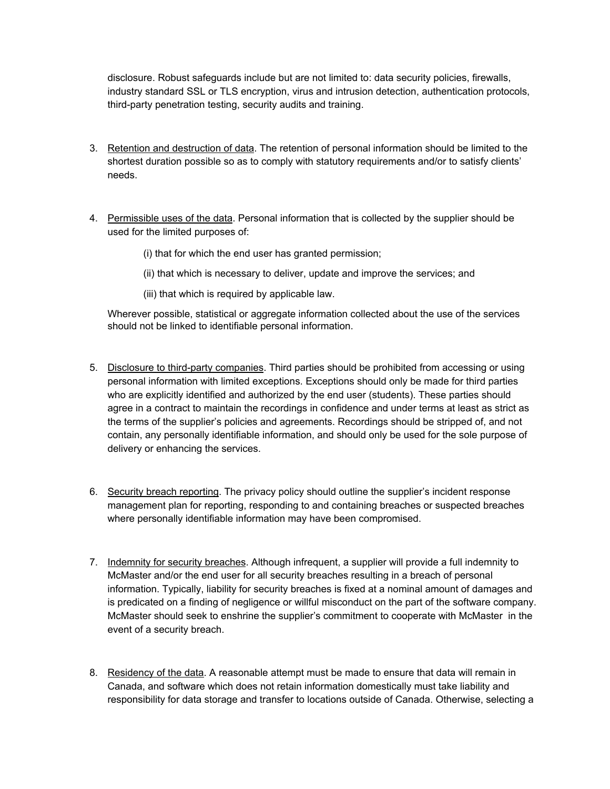disclosure. Robust safeguards include but are not limited to: data security policies, firewalls, industry standard SSL or TLS encryption, virus and intrusion detection, authentication protocols, third-party penetration testing, security audits and training.

- 3. Retention and destruction of data. The retention of personal information should be limited to the shortest duration possible so as to comply with statutory requirements and/or to satisfy clients' needs.
- 4. Permissible uses of the data. Personal information that is collected by the supplier should be used for the limited purposes of:
	- (i) that for which the end user has granted permission;
	- (ii) that which is necessary to deliver, update and improve the services; and
	- (iii) that which is required by applicable law.

Wherever possible, statistical or aggregate information collected about the use of the services should not be linked to identifiable personal information.

- 5. Disclosure to third-party companies. Third parties should be prohibited from accessing or using personal information with limited exceptions. Exceptions should only be made for third parties who are explicitly identified and authorized by the end user (students). These parties should agree in a contract to maintain the recordings in confidence and under terms at least as strict as the terms of the supplier's policies and agreements. Recordings should be stripped of, and not contain, any personally identifiable information, and should only be used for the sole purpose of delivery or enhancing the services.
- 6. Security breach reporting. The privacy policy should outline the supplier's incident response management plan for reporting, responding to and containing breaches or suspected breaches where personally identifiable information may have been compromised.
- 7. Indemnity for security breaches. Although infrequent, a supplier will provide a full indemnity to McMaster and/or the end user for all security breaches resulting in a breach of personal information. Typically, liability for security breaches is fixed at a nominal amount of damages and is predicated on a finding of negligence or willful misconduct on the part of the software company. McMaster should seek to enshrine the supplier's commitment to cooperate with McMaster in the event of a security breach.
- 8. Residency of the data. A reasonable attempt must be made to ensure that data will remain in Canada, and software which does not retain information domestically must take liability and responsibility for data storage and transfer to locations outside of Canada. Otherwise, selecting a